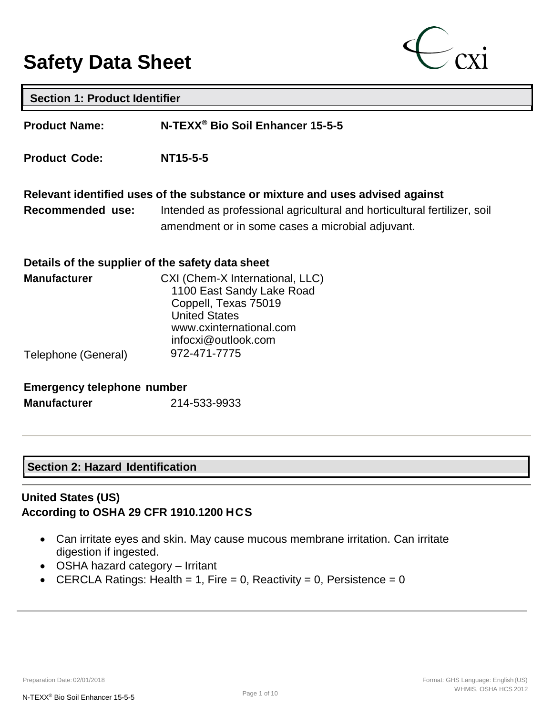# **Safety Data Sheet**



| <b>Section 1: Product Identifier</b>             |                                                                                                                                                                |  |  |
|--------------------------------------------------|----------------------------------------------------------------------------------------------------------------------------------------------------------------|--|--|
| <b>Product Name:</b>                             | N-TEXX <sup>®</sup> Bio Soil Enhancer 15-5-5                                                                                                                   |  |  |
| <b>Product Code:</b>                             | NT15-5-5                                                                                                                                                       |  |  |
|                                                  | Relevant identified uses of the substance or mixture and uses advised against                                                                                  |  |  |
| Recommended use:                                 | Intended as professional agricultural and horticultural fertilizer, soil<br>amendment or in some cases a microbial adjuvant.                                   |  |  |
| Details of the supplier of the safety data sheet |                                                                                                                                                                |  |  |
| <b>Manufacturer</b>                              | CXI (Chem-X International, LLC)<br>1100 East Sandy Lake Road<br>Coppell, Texas 75019<br><b>United States</b><br>www.cxinternational.com<br>infocxi@outlook.com |  |  |
| Telephone (General)                              | 972-471-7775                                                                                                                                                   |  |  |
| <b>Emergency telephone number</b>                |                                                                                                                                                                |  |  |

## **Section 2: Hazard Identification**

## **United States (US) According to OSHA 29 CFR 1910.1200 HCS**

- Can irritate eyes and skin. May cause mucous membrane irritation. Can irritate digestion if ingested.
- OSHA hazard category Irritant
- CERCLA Ratings: Health = 1, Fire = 0, Reactivity = 0, Persistence =  $0$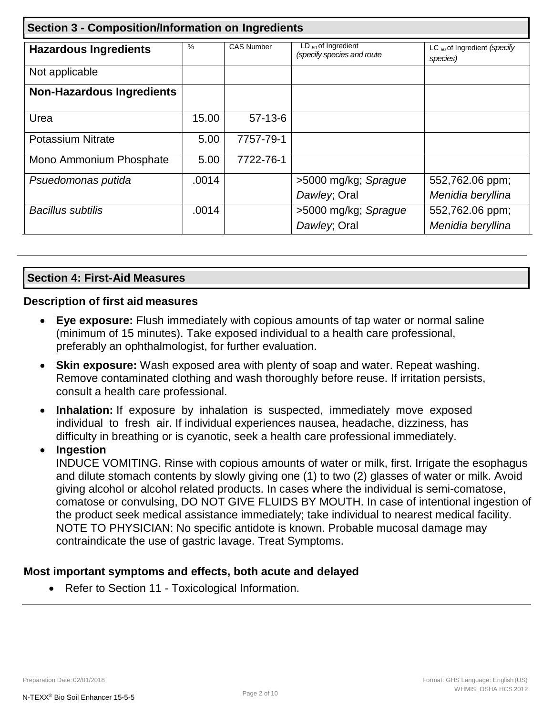| <b>Section 3 - Composition/Information on Ingredients</b> |       |                   |                                                                                                              |                   |
|-----------------------------------------------------------|-------|-------------------|--------------------------------------------------------------------------------------------------------------|-------------------|
| <b>Hazardous Ingredients</b>                              | $\%$  | <b>CAS Number</b> | $LD_{50}$ of Ingredient<br>LC <sub>50</sub> of Ingredient (specify<br>(specify species and route<br>species) |                   |
| Not applicable                                            |       |                   |                                                                                                              |                   |
| <b>Non-Hazardous Ingredients</b>                          |       |                   |                                                                                                              |                   |
| Urea                                                      | 15.00 | $57-13-6$         |                                                                                                              |                   |
| <b>Potassium Nitrate</b>                                  | 5.00  | 7757-79-1         |                                                                                                              |                   |
| Mono Ammonium Phosphate                                   | 5.00  | 7722-76-1         |                                                                                                              |                   |
| Psuedomonas putida                                        | .0014 |                   | >5000 mg/kg; Sprague                                                                                         | 552,762.06 ppm;   |
|                                                           |       |                   | Dawley; Oral                                                                                                 | Menidia beryllina |
| <b>Bacillus subtilis</b>                                  | .0014 |                   | >5000 mg/kg; Sprague                                                                                         | 552,762.06 ppm;   |
|                                                           |       |                   | Dawley; Oral                                                                                                 | Menidia beryllina |

## **Section 4: First-Aid Measures**

#### **Description of first aid measures**

- **Eye exposure:** Flush immediately with copious amounts of tap water or normal saline (minimum of 15 minutes). Take exposed individual to a health care professional, preferably an ophthalmologist, for further evaluation.
- **Skin exposure:** Wash exposed area with plenty of soap and water. Repeat washing. Remove contaminated clothing and wash thoroughly before reuse. If irritation persists, consult a health care professional.
- **Inhalation:** If exposure by inhalation is suspected, immediately move exposed individual to fresh air. If individual experiences nausea, headache, dizziness, has difficulty in breathing or is cyanotic, seek a health care professional immediately.

## • **Ingestion**

INDUCE VOMITING. Rinse with copious amounts of water or milk, first. Irrigate the esophagus and dilute stomach contents by slowly giving one (1) to two (2) glasses of water or milk. Avoid giving alcohol or alcohol related products. In cases where the individual is semi-comatose, comatose or convulsing, DO NOT GIVE FLUIDS BY MOUTH. In case of intentional ingestion of the product seek medical assistance immediately; take individual to nearest medical facility. NOTE TO PHYSICIAN: No specific antidote is known. Probable mucosal damage may contraindicate the use of gastric lavage. Treat Symptoms.

### **Most important symptoms and effects, both acute and delayed**

• Refer to Section 11 - Toxicological Information.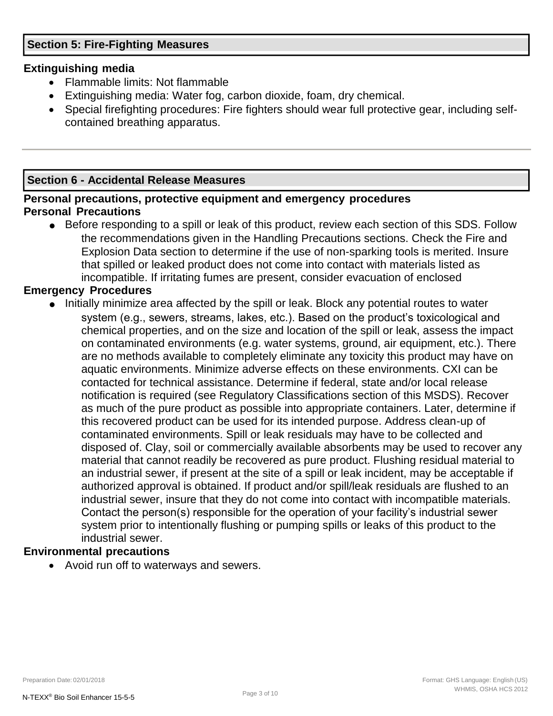## **Section 5: Fire-Fighting Measures**

### **Extinguishing media**

- Flammable limits: Not flammable
- Extinguishing media: Water fog, carbon dioxide, foam, dry chemical.
- Special firefighting procedures: Fire fighters should wear full protective gear, including selfcontained breathing apparatus.

## **Section 6 - Accidental Release Measures**

## **Personal precautions, protective equipment and emergency procedures Personal Precautions**

● Before responding to a spill or leak of this product, review each section of this SDS. Follow the recommendations given in the Handling Precautions sections. Check the Fire and Explosion Data section to determine if the use of non-sparking tools is merited. Insure that spilled or leaked product does not come into contact with materials listed as incompatible. If irritating fumes are present, consider evacuation of enclosed

#### **Emergency Procedures**

● Initially minimize area affected by the spill or leak. Block any potential routes to water system (e.g., sewers, streams, lakes, etc.). Based on the product's toxicological and chemical properties, and on the size and location of the spill or leak, assess the impact on contaminated environments (e.g. water systems, ground, air equipment, etc.). There are no methods available to completely eliminate any toxicity this product may have on aquatic environments. Minimize adverse effects on these environments. CXI can be contacted for technical assistance. Determine if federal, state and/or local release notification is required (see Regulatory Classifications section of this MSDS). Recover as much of the pure product as possible into appropriate containers. Later, determine if this recovered product can be used for its intended purpose. Address clean-up of contaminated environments. Spill or leak residuals may have to be collected and disposed of. Clay, soil or commercially available absorbents may be used to recover any material that cannot readily be recovered as pure product. Flushing residual material to an industrial sewer, if present at the site of a spill or leak incident, may be acceptable if authorized approval is obtained. If product and/or spill/leak residuals are flushed to an industrial sewer, insure that they do not come into contact with incompatible materials. Contact the person(s) responsible for the operation of your facility's industrial sewer system prior to intentionally flushing or pumping spills or leaks of this product to the industrial sewer.

### **Environmental precautions**

• Avoid run off to waterways and sewers.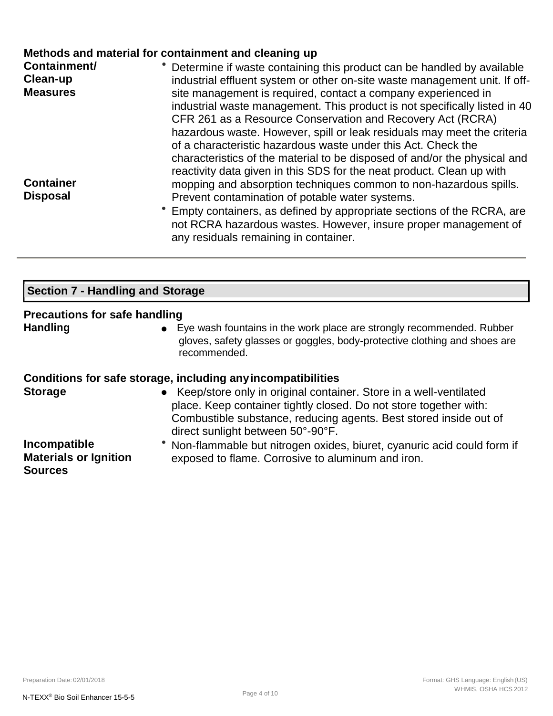## **Methods and material for containment and cleaning up**

| Containment/<br>Clean-up | • Determine if waste containing this product can be handled by available<br>industrial effluent system or other on-site waste management unit. If off-                                                    |
|--------------------------|-----------------------------------------------------------------------------------------------------------------------------------------------------------------------------------------------------------|
| <b>Measures</b>          | site management is required, contact a company experienced in<br>industrial waste management. This product is not specifically listed in 40<br>CFR 261 as a Resource Conservation and Recovery Act (RCRA) |
|                          | hazardous waste. However, spill or leak residuals may meet the criteria<br>of a characteristic hazardous waste under this Act. Check the                                                                  |
|                          | characteristics of the material to be disposed of and/or the physical and<br>reactivity data given in this SDS for the neat product. Clean up with                                                        |
| <b>Container</b>         | mopping and absorption techniques common to non-hazardous spills.                                                                                                                                         |
| <b>Disposal</b>          | Prevent contamination of potable water systems.                                                                                                                                                           |
|                          | Empty containers, as defined by appropriate sections of the RCRA, are<br>not RCRA hazardous wastes. However, insure proper management of<br>any residuals remaining in container.                         |

## **Section 7 - Handling and Storage**

## **Precautions for safe handling**

**Handling** ● Eye wash fountains in the work place are strongly recommended. Rubber gloves, safety glasses or goggles, body-protective clothing and shoes are recommended.

### **Conditions for safe storage, including anyincompatibilities**

| <b>Storage</b> | • Keep/store only in original container. Store in a well-ventilated<br>place. Keep container tightly closed. Do not store together with: |
|----------------|------------------------------------------------------------------------------------------------------------------------------------------|
|                | Combustible substance, reducing agents. Best stored inside out of                                                                        |
|                | direct sunlight between 50°-90°F.                                                                                                        |
| Incomposible   | lahan flanspeale laut pituanan avidaa laiusat avanusia aajdaauld farma                                                                   |

**Incompatible Materials or Ignition Sources**

Non-flammable but nitrogen oxides, biuret, cyanuric acid could form if exposed to flame. Corrosive to aluminum and iron.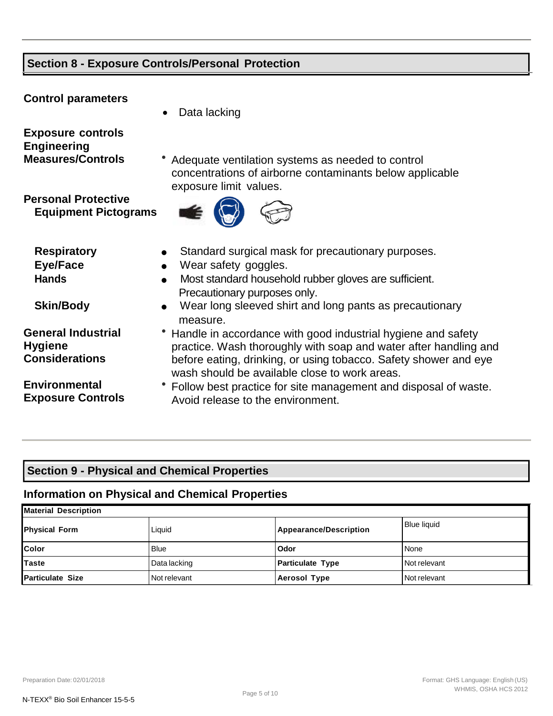# **Section 8 - Exposure Controls/Personal Protection**

| <b>Control parameters</b>                                                  | Data lacking<br>$\bullet$                                                                                                                                                                                                                                                         |
|----------------------------------------------------------------------------|-----------------------------------------------------------------------------------------------------------------------------------------------------------------------------------------------------------------------------------------------------------------------------------|
| <b>Exposure controls</b><br><b>Engineering</b><br><b>Measures/Controls</b> | Adequate ventilation systems as needed to control<br>concentrations of airborne contaminants below applicable<br>exposure limit values.                                                                                                                                           |
| <b>Personal Protective</b><br><b>Equipment Pictograms</b>                  |                                                                                                                                                                                                                                                                                   |
| <b>Respiratory</b><br><b>Eye/Face</b><br><b>Hands</b><br><b>Skin/Body</b>  | Standard surgical mask for precautionary purposes.<br>Wear safety goggles.<br>$\bullet$<br>Most standard household rubber gloves are sufficient.<br>$\bullet$<br>Precautionary purposes only.<br>Wear long sleeved shirt and long pants as precautionary<br>$\bullet$<br>measure. |
| <b>General Industrial</b><br><b>Hygiene</b><br><b>Considerations</b>       | Handle in accordance with good industrial hygiene and safety<br>practice. Wash thoroughly with soap and water after handling and<br>before eating, drinking, or using tobacco. Safety shower and eye<br>wash should be available close to work areas.                             |
| <b>Environmental</b><br><b>Exposure Controls</b>                           | Follow best practice for site management and disposal of waste.<br>Avoid release to the environment.                                                                                                                                                                              |

# **Section 9 - Physical and Chemical Properties**

# **Information on Physical and Chemical Properties**

| Material Description    |              |                               |                    |  |
|-------------------------|--------------|-------------------------------|--------------------|--|
| <b>Physical Form</b>    | Liquid       | <b>Appearance/Description</b> | <b>Blue liquid</b> |  |
| <b>Color</b>            | <b>Blue</b>  | Odor                          | None               |  |
| <b>ITaste</b>           | Data lacking | <b>Particulate Type</b>       | Not relevant       |  |
| <b>Particulate Size</b> | Not relevant | <b>Aerosol Type</b>           | Not relevant       |  |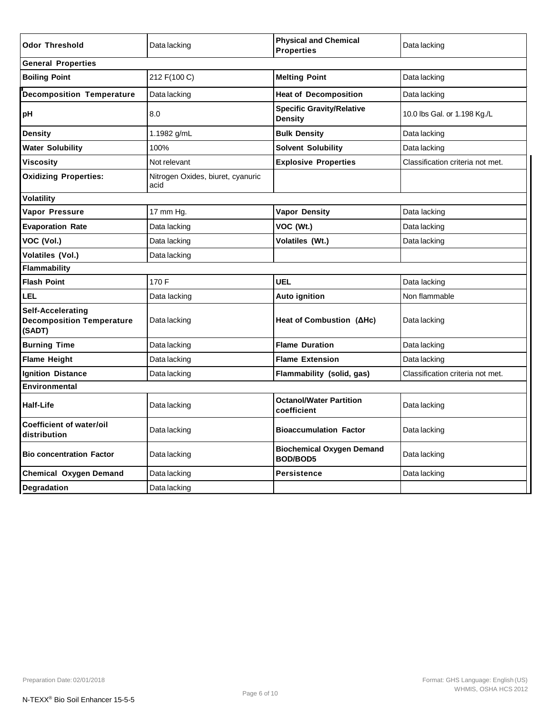| <b>Odor Threshold</b>                                           | Data lacking                              | <b>Physical and Chemical</b><br><b>Properties</b>  | Data lacking                     |  |
|-----------------------------------------------------------------|-------------------------------------------|----------------------------------------------------|----------------------------------|--|
| <b>General Properties</b>                                       |                                           |                                                    |                                  |  |
| <b>Boiling Point</b>                                            | 212 F(100 C)                              | <b>Melting Point</b>                               | Data lacking                     |  |
| <b>Decomposition Temperature</b>                                | Data lacking                              | <b>Heat of Decomposition</b>                       | Data lacking                     |  |
| pH                                                              | 8.0                                       | <b>Specific Gravity/Relative</b><br><b>Density</b> | 10.0 lbs Gal. or 1.198 Kg./L     |  |
| Density                                                         | 1.1982 g/mL                               | <b>Bulk Density</b>                                | Data lacking                     |  |
| <b>Water Solubility</b>                                         | 100%                                      | <b>Solvent Solubility</b>                          | Data lacking                     |  |
| Viscosity                                                       | Not relevant                              | <b>Explosive Properties</b>                        | Classification criteria not met. |  |
| <b>Oxidizing Properties:</b>                                    | Nitrogen Oxides, biuret, cyanuric<br>acid |                                                    |                                  |  |
| Volatility                                                      |                                           |                                                    |                                  |  |
| Vapor Pressure                                                  | 17 mm Hg.                                 | <b>Vapor Density</b>                               | Data lacking                     |  |
| <b>Evaporation Rate</b>                                         | Data lacking                              | VOC (Wt.)                                          | Data lacking                     |  |
| VOC (Vol.)                                                      | Data lacking                              | Volatiles (Wt.)                                    | Data lacking                     |  |
| Volatiles (Vol.)                                                | Data lacking                              |                                                    |                                  |  |
| Flammability                                                    |                                           |                                                    |                                  |  |
| <b>Flash Point</b>                                              | 170 F                                     | <b>UEL</b>                                         | Data lacking                     |  |
| LEL                                                             | Data lacking                              | <b>Auto ignition</b>                               | Non flammable                    |  |
| Self-Accelerating<br><b>Decomposition Temperature</b><br>(SADT) | Data lacking                              | Heat of Combustion $(AHC)$                         | Data lacking                     |  |
| <b>Burning Time</b>                                             | Data lacking                              | <b>Flame Duration</b>                              | Data lacking                     |  |
| <b>Flame Height</b>                                             | Data lacking                              | <b>Flame Extension</b>                             | Data lacking                     |  |
| <b>Ignition Distance</b>                                        | Data lacking                              | Flammability (solid, gas)                          | Classification criteria not met. |  |
| Environmental                                                   |                                           |                                                    |                                  |  |
| Half-Life                                                       | Data lacking                              | <b>Octanol/Water Partition</b><br>coefficient      | Data lacking                     |  |
| <b>Coefficient of water/oil</b><br>distribution                 | Data lacking                              | <b>Bioaccumulation Factor</b>                      | Data lacking                     |  |
| <b>Bio concentration Factor</b>                                 | Data lacking                              | <b>Biochemical Oxygen Demand</b><br>BOD/BOD5       | Data lacking                     |  |
| <b>Chemical Oxygen Demand</b>                                   | Data lacking                              | <b>Persistence</b>                                 | Data lacking                     |  |
| <b>Degradation</b>                                              | Data lacking                              |                                                    |                                  |  |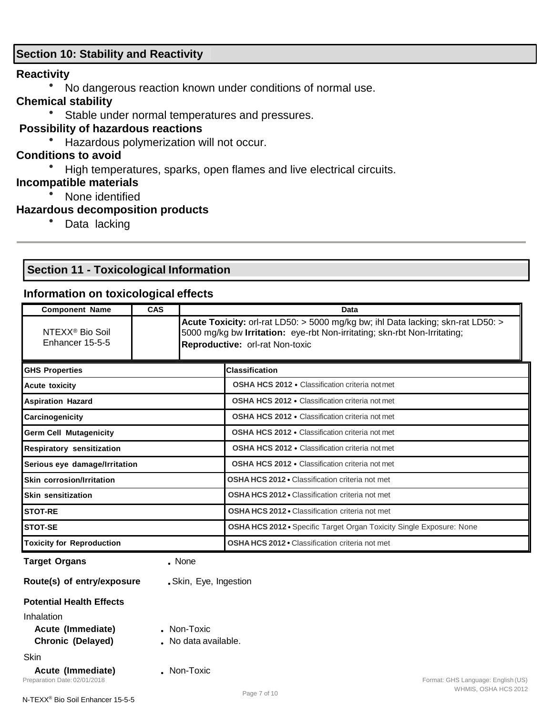## **Section 10: Stability and Reactivity**

#### **Reactivity**

● No dangerous reaction known under conditions of normal use.

# **Chemical stability**

• Stable under normal temperatures and pressures.

## **Possibility of hazardous reactions**

● Hazardous polymerization will not occur.

# **Conditions to avoid**

High temperatures, sparks, open flames and live electrical circuits.

## **Incompatible materials**

None identified

## **Hazardous decomposition products**

• Data lacking

# **Section 11 - Toxicological Information**

## **Information on toxicological effects**

| <b>Component Name</b>                                            | CAS | Data                                                                                                                                                                                             |                                                                            |  |  |
|------------------------------------------------------------------|-----|--------------------------------------------------------------------------------------------------------------------------------------------------------------------------------------------------|----------------------------------------------------------------------------|--|--|
| NTEXX <sup>®</sup> Bio Soil<br>Enhancer 15-5-5                   |     | Acute Toxicity: orl-rat LD50: > 5000 mg/kg bw; ihl Data lacking; skn-rat LD50: ><br>5000 mg/kg bw Irritation: eye-rbt Non-irritating; skn-rbt Non-Irritating;<br>Reproductive: orl-rat Non-toxic |                                                                            |  |  |
| <b>GHS Properties</b>                                            |     |                                                                                                                                                                                                  | <b>Classification</b>                                                      |  |  |
| <b>Acute toxicity</b>                                            |     |                                                                                                                                                                                                  | OSHA HCS 2012 · Classification criteria not met                            |  |  |
| <b>Aspiration Hazard</b>                                         |     |                                                                                                                                                                                                  | <b>OSHA HCS 2012 • Classification criteria not met</b>                     |  |  |
| Carcinogenicity                                                  |     |                                                                                                                                                                                                  | <b>OSHA HCS 2012 •</b> Classification criteria not met                     |  |  |
| <b>Germ Cell Mutagenicity</b>                                    |     |                                                                                                                                                                                                  | <b>OSHA HCS 2012 •</b> Classification criteria not met                     |  |  |
| Respiratory sensitization                                        |     |                                                                                                                                                                                                  | <b>OSHA HCS 2012 •</b> Classification criteria not met                     |  |  |
| Serious eye damage/Irritation                                    |     |                                                                                                                                                                                                  | <b>OSHA HCS 2012 •</b> Classification criteria not met                     |  |  |
| <b>Skin corrosion/Irritation</b>                                 |     |                                                                                                                                                                                                  | <b>OSHA HCS 2012 • Classification criteria not met</b>                     |  |  |
| <b>Skin sensitization</b>                                        |     |                                                                                                                                                                                                  | <b>OSHA HCS 2012 • Classification criteria not met</b>                     |  |  |
| <b>STOT-RE</b>                                                   |     |                                                                                                                                                                                                  | OSHA HCS 2012 · Classification criteria not met                            |  |  |
| <b>STOT-SE</b>                                                   |     |                                                                                                                                                                                                  | OSHA HCS 2012 · Specific Target Organ Toxicity Single Exposure: None       |  |  |
| <b>Toxicity for Reproduction</b>                                 |     |                                                                                                                                                                                                  | <b>OSHA HCS 2012 • Classification criteria not met</b>                     |  |  |
| <b>Target Organs</b>                                             |     | . None                                                                                                                                                                                           |                                                                            |  |  |
| Route(s) of entry/exposure                                       |     | . Skin, Eye, Ingestion                                                                                                                                                                           |                                                                            |  |  |
| <b>Potential Health Effects</b>                                  |     |                                                                                                                                                                                                  |                                                                            |  |  |
| Inhalation<br>Acute (Immediate)<br>Chronic (Delayed)             |     | . Non-Toxic<br>. No data available.                                                                                                                                                              |                                                                            |  |  |
| <b>Skin</b><br>Acute (Immediate)<br>Preparation Date: 02/01/2018 |     | . Non-Toxic                                                                                                                                                                                      | Format: GHS Language: English (US)<br>WHMIS, OSHA HCS 2012<br>Page 7 of 10 |  |  |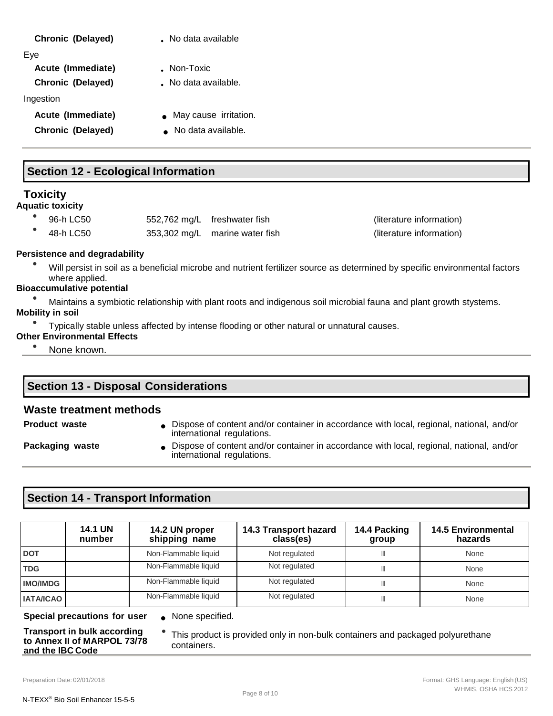#### **Chronic (Delayed)** • No data available

Eye

**Acute (Immediate) • • Non-Toxic** 

**Chronic (Delayed)** • No data available.

Ingestion

- 
- 
- **Acute (Immediate)**  May cause irritation.
- **Chronic (Delayed)** No data available.

## **Section 12 - Ecological Information**

## **Toxicity**

**Aquatic toxicity**

- 96-h LC50 552,762 mg/L freshwater fish (literature information) ● 48-h LC50 353,302 mg/L marine water fish (literature information)
	-

#### **Persistence and degradability**

Will persist in soil as a beneficial microbe and nutrient fertilizer source as determined by specific environmental factors where applied.

#### **Bioaccumulative potential**

Maintains a symbiotic relationship with plant roots and indigenous soil microbial fauna and plant growth stystems.

#### **Mobility in soil**

● Typically stable unless affected by intense flooding or other natural or unnatural causes.

#### **Other Environmental Effects**

• None known.

## **Section 13 - Disposal Considerations**

#### **Waste treatment methods**

**Product waste • Dispose of content and/or container in accordance with local, regional, national, and/or content** international regulations.

**Packaging waste • Dispose of content and/or container in accordance with local, regional, national, and/or content** international regulations.

## **Section 14 - Transport Information**

|                  | <b>14.1 UN</b><br>number | 14.2 UN proper<br>shipping name | 14.3 Transport hazard<br>class(es) | 14.4 Packing<br>group | <b>14.5 Environmental</b><br>hazards |
|------------------|--------------------------|---------------------------------|------------------------------------|-----------------------|--------------------------------------|
| <b>DOT</b>       |                          | Non-Flammable liquid            | Not regulated                      | Ш                     | None                                 |
| <b>TDG</b>       |                          | Non-Flammable liquid            | Not regulated                      | Ш                     | None                                 |
| <b>IMO/IMDG</b>  |                          | Non-Flammable liquid            | Not regulated                      | Ш                     | None                                 |
| <b>IATA/ICAO</b> |                          | Non-Flammable liquid            | Not regulated                      | Ш                     | None                                 |

**Special precautions for user** ● None specified.

**Transport in bulk according to Annex II of MARPOL 73/78** 

● This product is provided only in non-bulk containers and packaged polyurethane containers.

**and the IBC Code**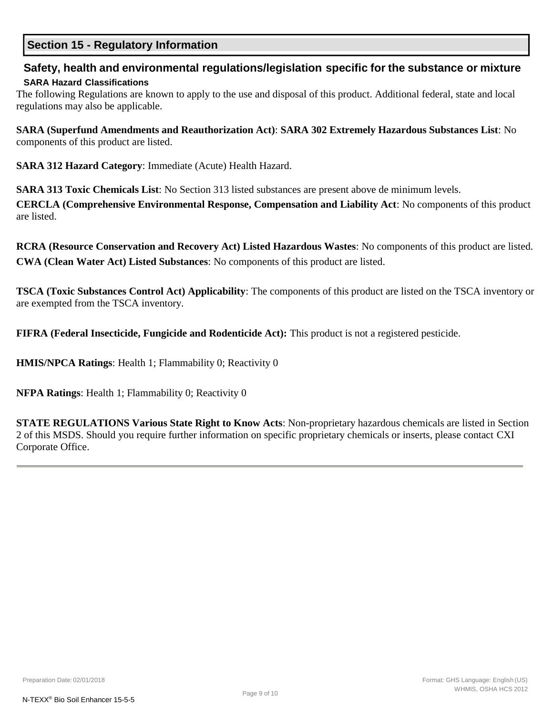## **Section 15 - Regulatory Information**

# **Safety, health and environmental regulations/legislation specific for the substance or mixture**

#### **SARA Hazard Classifications**

The following Regulations are known to apply to the use and disposal of this product. Additional federal, state and local regulations may also be applicable.

**SARA (Superfund Amendments and Reauthorization Act)**: **SARA 302 Extremely Hazardous Substances List**: No components of this product are listed.

**SARA 312 Hazard Category**: Immediate (Acute) Health Hazard.

**SARA 313 Toxic Chemicals List**: No Section 313 listed substances are present above de minimum levels.

**CERCLA (Comprehensive Environmental Response, Compensation and Liability Act**: No components of this product are listed.

**RCRA (Resource Conservation and Recovery Act) Listed Hazardous Wastes**: No components of this product are listed. **CWA (Clean Water Act) Listed Substances**: No components of this product are listed.

**TSCA (Toxic Substances Control Act) Applicability**: The components of this product are listed on the TSCA inventory or are exempted from the TSCA inventory.

**FIFRA (Federal Insecticide, Fungicide and Rodenticide Act):** This product is not a registered pesticide.

**HMIS/NPCA Ratings**: Health 1; Flammability 0; Reactivity 0

**NFPA Ratings**: Health 1; Flammability 0; Reactivity 0

**STATE REGULATIONS Various State Right to Know Acts**: Non-proprietary hazardous chemicals are listed in Section 2 of this MSDS. Should you require further information on specific proprietary chemicals or inserts, please contact CXI Corporate Office.